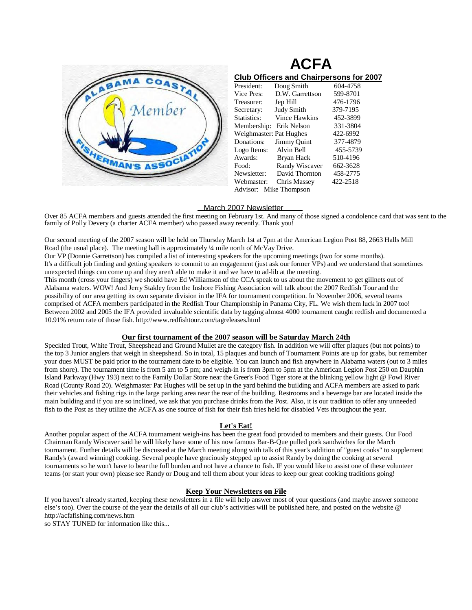

| <b>ACFA</b>                                    |                       |          |
|------------------------------------------------|-----------------------|----------|
| <b>Club Officers and Chairpersons for 2007</b> |                       |          |
| President:                                     | Doug Smith            | 604-4758 |
| Vice Pres:                                     | D.W. Garrettson       | 599-8701 |
| Treasurer:                                     | Jep Hill              | 476-1796 |
| Secretary:                                     | Judy Smith            | 379-7195 |
| Statistics:                                    | Vince Hawkins         | 452-3899 |
| Membership:                                    | Erik Nelson           | 331-3804 |
| Weighmaster: Pat Hughes                        |                       | 422-6992 |
| Donations:                                     | Jimmy Quint           | 377-4879 |
| Logo Items:                                    | Alvin Bell            | 455-5739 |
| Awards:                                        | Bryan Hack            | 510-4196 |
| Food:                                          | <b>Randy Wiscaver</b> | 662-3628 |
| Newsletter:                                    | David Thornton        | 458-2775 |
| Webmaster:                                     | Chris Massey          | 422-2518 |
| Advisor: Mike Thompson                         |                       |          |

 March 2007 Newsletter Over 85 ACFA members and guests attended the first meeting on February 1st. And many of those signed a condolence card that was sent to the family of Polly Devery (a charter ACFA member) who passed away recently. Thank you!

Our second meeting of the 2007 season will be held on Thursday March 1st at 7pm at the American Legion Post 88, 2663 Halls Mill Road (the usual place). The meeting hall is approximately  $\frac{1}{4}$  mile north of McVay Drive. Our VP (Donnie Garrettson) has compiled a list of interesting speakers for the upcoming meetings (two for some months).

It's a difficult job finding and getting speakers to commit to an engagement (just ask our former VPs) and we understand that sometimes unexpected things can come up and they aren't able to make it and we have to ad-lib at the meeting.

This month (cross your fingers) we should have Ed Williamson of the CCA speak to us about the movement to get gillnets out of Alabama waters. WOW! And Jerry Stakley from the Inshore Fishing Association will talk about the 2007 Redfish Tour and the possibility of our area getting its own separate division in the IFA for tournament competition. In November 2006, several teams comprised of ACFA members participated in the Redfish Tour Championship in Panama City, FL. We wish them luck in 2007 too! Between 2002 and 2005 the IFA provided invaluable scientific data by tagging almost 4000 tournament caught redfish and documented a 10.91% return rate of those fish.<http://www.redfishtour.com/tagreleases.html>

# **Our first tournament of the 2007 season will be Saturday March 24th**

Speckled Trout, White Trout, Sheepshead and Ground Mullet are the category fish. In addition we will offer plaques (but not points) to the top 3 Junior anglers that weigh in sheepshead. So in total, 15 plaques and bunch of Tournament Points are up for grabs, but remember your dues MUST be paid prior to the tournament date to be eligible. You can launch and fish anywhere in Alabama waters (out to 3 miles from shore). The tournament time is from 5 am to 5 pm; and weigh-in is from 3pm to 5pm at the American Legion Post 250 on Dauphin Island Parkway (Hwy 193) next to the Family Dollar Store near the Greer's Food Tiger store at the blinking yellow light @ Fowl River Road (County Road 20). Weighmaster Pat Hughes will be set up in the yard behind the building and ACFA members are asked to park their vehicles and fishing rigs in the large parking area near the rear of the building. Restrooms and a beverage bar are located inside the main building and if you are so inclined, we ask that you purchase drinks from the Post. Also, it is our tradition to offer any unneeded fish to the Post as they utilize the ACFA as one source of fish for their fish fries held for disabled Vets throughout the year.

# **Let's Eat!**

Another popular aspect of the ACFA tournament weigh-ins has been the great food provided to members and their guests. Our Food Chairman Randy Wiscaver said he will likely have some of his now famous Bar-B-Que pulled pork sandwiches for the March tournament. Further details will be discussed at the March meeting along with talk of this year's addition of "guest cooks" to supplement Randy's (award winning) cooking. Several people have graciously stepped up to assist Randy by doing the cooking at several tournaments so he won't have to bear the full burden and not have a chance to fish. IF you would like to assist one of these volunteer teams (or start your own) please see Randy or Doug and tell them about your ideas to keep our great cooking traditions going!

# **Keep Your Newsletters on File**

If you haven't already started, keeping these newsletters in a file will help answer most of your questions (and maybe answer someone else's too). Over the course of the year the details of all our club's activities will be published here, and posted on the website @ <http://acfafishing.com/news.htm>

so STAY TUNED for information like this...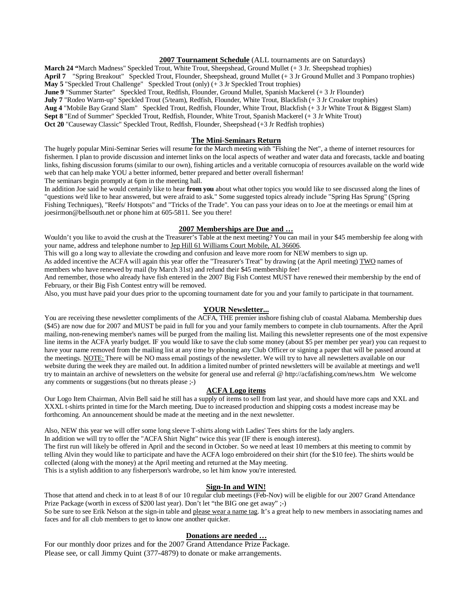# **2007 Tournament Schedule** (ALL tournaments are on Saturdays)

**March 24 "**March Madness" Speckled Trout, White Trout, Sheepshead, Ground Mullet (+ 3 Jr. Sheepshead trophies)

April 7 "Spring Breakout" Speckled Trout, Flounder, Sheepshead, ground Mullet (+ 3 Jr Ground Mullet and 3 Pompano trophies) **May 5** "Speckled Trout Challenge" Speckled Trout (only) (+ 3 Jr Speckled Trout trophies)

**June 9** "Summer Starter" Speckled Trout, Redfish, Flounder, Ground Mullet, Spanish Mackerel (+ 3 Jr Flounder)

**July 7** "Rodeo Warm-up" Speckled Trout (5/team), Redfish, Flounder, White Trout, Blackfish (+ 3 Jr Croaker trophies)

**Aug 4** "Mobile Bay Grand Slam" Speckled Trout, Redfish, Flounder, White Trout, Blackfish (+ 3 Jr White Trout & Biggest Slam)

**Sept 8** "End of Summer" Speckled Trout, Redfish, Flounder, White Trout, Spanish Mackerel (+ 3 Jr White Trout)

**Oct 20** "Causeway Classic" Speckled Trout, Redfish, Flounder, Sheepshead (+3 Jr Redfish trophies)

#### **The Mini-Seminars Return**

The hugely popular Mini-Seminar Series will resume for the March meeting with "Fishing the Net", a theme of internet resources for fishermen. I plan to provide discussion and internet links on the local aspects of weather and water data and forecasts, tackle and boating links, fishing discussion forums (similar to our own), fishing articles and a veritable cornucopia of resources available on the world wide web that can help make YOU a better informed, better prepared and better overall fisherman!

The seminars begin promptly at 6pm in the meeting hall.

In addition Joe said he would certainly like to hear **from you** about what other topics you would like to see discussed along the lines of "questions we'd like to hear answered, but were afraid to ask." Some suggested topics already include "Spring Has Sprung" (Spring Fishing Techniques), "Reefs/ Hotspots" and "Tricks of the Trade". You can pass your ideas on to Joe at the meetings or email him at [joesirmon@bellsouth.net](mailto:joesirmon@bellsouth.net) or phone him at 605-5811. See you there!

#### **2007 Memberships are Due and …**

Wouldn't you like to avoid the crush at the Treasurer's Table at the next meeting? You can mail in your \$45 membership fee along with your name, address and telephone number to Jep Hill 61 Williams Court Mobile, AL 36606.

This will go a long way to alleviate the crowding and confusion and leave more room for NEW members to sign up.

As added incentive the ACFA will again this year offer the "Treasurer's Treat" by drawing (at the April meeting) TWO names of members who have renewed by mail (by March 31st) and refund their \$45 membership fee!

And remember, those who already have fish entered in the 2007 Big Fish Contest MUST have renewed their membership by the end of February, or their Big Fish Contest entry will be removed.

Also, you must have paid your dues prior to the upcoming tournament date for you and your family to participate in that tournament.

# **YOUR Newsletter...**

You are receiving these newsletter compliments of the ACFA, THE premier inshore fishing club of coastal Alabama. Membership dues (\$45) are now due for 2007 and MUST be paid in full for you and your family members to compete in club tournaments. After the April mailing, non-renewing member's names will be purged from the mailing list. Mailing this newsletter represents one of the most expensive line items in the ACFA yearly budget. IF you would like to save the club some money (about \$5 per member per year) you can request to have your name removed from the mailing list at any time by phoning any Club Officer or signing a paper that will be passed around at the meetings. NOTE: There will be NO mass email postings of the newsletter. We will try to have all newsletters available on our website during the week they are mailed out. In addition a limited number of printed newsletters will be available at meetings and we'll try to maintain an archive of newsletters on the website for general use and referral @<http://acfafishing.com/news.htm>We welcome any comments or suggestions (but no threats please ;-)

#### **ACFA Logo items**

Our Logo Item Chairman, Alvin Bell said he still has a supply of items to sell from last year, and should have more caps and XXL and XXXL t-shirts printed in time for the March meeting. Due to increased production and shipping costs a modest increase may be forthcoming. An announcement should be made at the meeting and in the next newsletter.

Also, NEW this year we will offer some long sleeve T-shirts along with Ladies' Tees shirts for the lady anglers. In addition we will try to offer the "ACFA Shirt Night" twice this year (IF there is enough interest). The first run will likely be offered in April and the second in October. So we need at least 10 members at this meeting to commit by telling Alvin they would like to participate and have the ACFA logo embroidered on their shirt (for the \$10 fee). The shirts would be collected (along with the money) at the April meeting and returned at the May meeting. This is a stylish addition to any fisherperson's wardrobe, so let him know you're interested.

#### **Sign-In and WIN!**

Those that attend and check in to at least 8 of our 10 regular club meetings (Feb-Nov) will be eligible for our 2007 Grand Attendance Prize Package (worth in excess of \$200 last year). Don't let "the BIG one get away" ;-) So be sure to see Erik Nelson at the sign-in table and please wear a name tag. It's a great help to new members in associating names and faces and for all club members to get to know one another quicker.

#### **Donations are needed …**

For our monthly door prizes and for the 2007 Grand Attendance Prize Package. Please see, or call Jimmy Quint (377-4879) to donate or make arrangements.